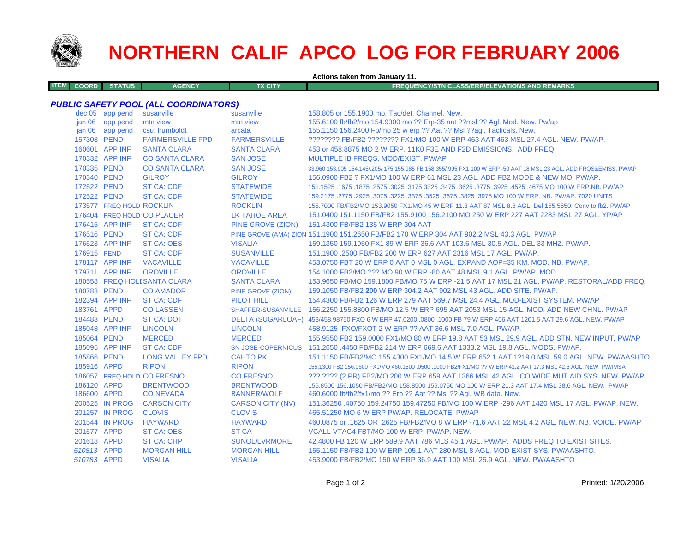

**ITEM**

# **NORTHERN CALIF APCO LOG FOR FEBRUARY 2006**

**Actions taken from January 11.**

**COORD STATUS AGENCY TX CITY FREQUENCY/STN CLASS/ERP/ELEVATIONS AND REMARKS**

#### *PUBLIC SAFETY POOL (ALL COORDINATORS)*

|                   | dec 05 app pend          | susanville                   | susanville               | 158.805 or 155.1900 mo. Tac/det. Channel. New.                                                                      |
|-------------------|--------------------------|------------------------------|--------------------------|---------------------------------------------------------------------------------------------------------------------|
| jan 06            | app pend                 | mtn view                     | mtn view                 | 155.6100 fb/fb2/mo 154.9300 mo ?? Erp-35 aat ??msl ?? Agl. Mod. New. Pw/ap                                          |
| jan <sub>06</sub> | app pend                 | csu: humboldt                | arcata                   | 155.1150 156.2400 Fb/mo 25 w erp ?? Aat ?? Msl ??agl. Tacticals. New.                                               |
| 157308 PEND       |                          | <b>FARMERSVILLE FPD</b>      | <b>FARMERSVILLE</b>      | ???????? FB/FB2 ???????? FX1/MO 100 W ERP 463 AAT 463 MSL 27.4 AGL. NEW. PW/AP.                                     |
|                   | 160601 APP INF           | <b>SANTA CLARA</b>           | <b>SANTA CLARA</b>       | 453 or 458,8875 MO 2 W ERP, 11K0 F3E AND F2D EMISSIONS. ADD FREQ.                                                   |
|                   | 170332 APP INF           | <b>CO SANTA CLARA</b>        | <b>SAN JOSE</b>          | MULTIPLE IB FREQS, MOD/EXIST, PW/AP                                                                                 |
| 170335 PEND       |                          | <b>CO SANTA CLARA</b>        | <b>SAN JOSE</b>          | 33.960 153.905 154.145/.205/.175 155.985 FB 158.355/.995 FX1 100 W ERP -50 AAT 18 MSL 23 AGL. ADD FRQS&EMISS. PW/AP |
| 170340 PEND       |                          | <b>GILROY</b>                | <b>GILROY</b>            | 156.0900 FB2 ? FX1/MO 100 W ERP 61 MSL 23 AGL. ADD FB2 MODE & NEW MO. PW/AP.                                        |
| 172522 PEND       |                          | <b>ST CA: CDF</b>            | <b>STATEWIDE</b>         | 151.1525 .1675 .1675 .3025 .3175 .3625 .3775 .3625 .3775 .3925 .4525 .4675 .00 .1675 .1675 .1675 .1679 .1679 .      |
| 172522 PEND       |                          | <b>ST CA: CDF</b>            | <b>STATEWIDE</b>         | 159,2175,2775,2925,3075,3225,3375,3525,3675,3825,3975 MO 100 W ERP, NB, PW/AP, 7020 UNITS                           |
|                   | 173577 FREQ HOLD ROCKLIN |                              | <b>ROCKLIN</b>           | 155.7000 FB/FB2/MO 153.9050 FX1/MO 45 W ERP 11.3 AAT 87 MSL 8.8 AGL. Del 155.5650. Conv to fb2. PW/AP               |
|                   |                          | 176404 FREQ HOLD CO PLACER   | LK TAHOE AREA            | 151,0400-151,1150 FB/FB2 155,9100 156,2100 MO 250 W ERP 227 AAT 2283 MSL 27 AGL, YP/AP                              |
|                   | 176415 APP INF           | <b>ST CA: CDF</b>            | PINE GROVE (ZION)        | 151.4300 FB/FB2 135 W ERP 304 AAT                                                                                   |
| 176516 PEND       |                          | <b>ST CA: CDF</b>            |                          | PINE GROVE (AMA) ZION 151.1900 151.2650 FB/FB2 170 W ERP 304 AAT 902.2 MSL 43.3 AGL. PW/AP                          |
|                   | 176523 APP INF           | <b>ST CA: OES</b>            | <b>VISALIA</b>           | 159.1350 159.1950 FX1 89 W ERP 36.6 AAT 103.6 MSL 30.5 AGL, DEL 33 MHZ, PW/AP.                                      |
| 176915 PEND       |                          | <b>ST CA: CDF</b>            | <b>SUSANVILLE</b>        | 151.1900 .2500 FB/FB2 200 W ERP 627 AAT 2316 MSL 17 AGL, PW/AP.                                                     |
|                   | 178117 APP INF           | <b>VACAVILLE</b>             | <b>VACAVILLE</b>         | 453.0750 FBT 20 W ERP 0 AAT 0 MSL 0 AGL, EXPAND AOP=35 KM, MOD, NB, PW/AP,                                          |
|                   | 179711 APP INF           | <b>OROVILLE</b>              | <b>OROVILLE</b>          | 154,1000 FB2/MO ??? MO 90 W ERP -80 AAT 48 MSL 9.1 AGL, PW/AP, MOD.                                                 |
|                   |                          | 180558 FREQ HOLI SANTA CLARA | <b>SANTA CLARA</b>       | 153.9650 FB/MO 159.1800 FB/MO 75 W ERP -21.5 AAT 17 MSL 21 AGL. PW/AP. RESTORAL/ADD FREQ.                           |
| 180788 PEND       |                          | <b>CO AMADOR</b>             | <b>PINE GROVE (ZION)</b> | 159.1050 FB/FB2 200 W ERP 304.2 AAT 902 MSL 43 AGL, ADD SITE, PW/AP.                                                |
|                   | 182394 APP INF           | <b>ST CA: CDF</b>            | <b>PILOT HILL</b>        | 154,4300 FB/FB2 126 W ERP 279 AAT 569.7 MSL 24.4 AGL, MOD-EXIST SYSTEM, PW/AP                                       |
| 183761 APPD       |                          | <b>CO LASSEN</b>             |                          | SHAFFER-SUSANVILLE 156.2250 155.8800 FB/MO 12.5 W ERP 695 AAT 2053 MSL 15 AGL, MOD, ADD NEW CHNL, PW/AP             |
| 184483 PEND       |                          | <b>ST CA: DOT</b>            |                          | DELTA (SUGARLOAF) 453/458.98750 FXO 6 W ERP 47.0200 .0800 .1000 FB 79 W ERP 406 AAT 1201.5 AAT 29.6 AGL. NEW. PW/AP |
|                   | 185048 APP INF           | <b>LINCOLN</b>               | <b>LINCOLN</b>           | 458.9125 FXO/FXOT 2 W ERP ?? AAT 36.6 MSL 7.0 AGL, PW/AP.                                                           |
| 185064 PEND       |                          | <b>MERCED</b>                | <b>MERCED</b>            | 155.9550 FB2 159.0000 FX1/MO 80 W ERP 19.8 AAT 53 MSL 29.9 AGL. ADD STN, NEW INPUT. PW/AP                           |
|                   | 185095 APP INF           | <b>ST CA: CDF</b>            |                          | SN JOSE-COPERNICUS 151,2650,4450 FB/FB2 214 W ERP 669.6 AAT 1333.2 MSL 19.8 AGL, MODS, PW/AP.                       |
| 185866 PEND       |                          | <b>LONG VALLEY FPD</b>       | <b>CAHTO PK</b>          | 151.1150 FB/FB2/MO 155.4300 FX1/MO 14.5 W ERP 652.1 AAT 1219.0 MSL 59.0 AGL, NEW, PW/AASHTO                         |
| 185916 APPD       |                          | <b>RIPON</b>                 | <b>RIPON</b>             | 155,1300 FB2 156,0600 FX1/MO 460,1500 ,0500 ,1000 FB2/FX1/MO ?? W ERP 41.2 AAT 17.3 MSL 42.6 AGL, NEW, PW/IMSA      |
|                   |                          | 186057 FREQ HOLD CO FRESNO   | <b>CO FRESNO</b>         | ???.???? (2 PR) FB2/MO 200 W ERP 659 AAT 1366 MSL 42 AGL. CO WIDE MUT AID SYS. NEW. PW/AP.                          |
| 186120 APPD       |                          | <b>BRENTWOOD</b>             | <b>BRENTWOOD</b>         | 155.8500 156.1050 FB/FB2/MO 158.8500 159.0750 MO 100 W ERP 21.3 AAT 17.4 MSL 38.6 AGL, NEW. PW/AP                   |
| 186600 APPD       |                          | <b>CONEVADA</b>              | <b>BANNER/WOLF</b>       | 460.6000 fb/fb2/fx1/mo ?? Erp ?? Aat ?? Msl ?? Agl. WB data. New.                                                   |
|                   | 200525 IN PROG           | <b>CARSON CITY</b>           | <b>CARSON CITY (NV)</b>  | 151.36250 .40750 159.24750 159.47250 FB/MO 100 W ERP -296 AAT 1420 MSL 17 AGL. PW/AP. NEW.                          |
|                   | 201257 IN PROG           | <b>CLOVIS</b>                | <b>CLOVIS</b>            | 465.51250 MO 6 W ERP PW/AP, RELOCATE, PW/AP                                                                         |
|                   | 201544 IN PROG           | <b>HAYWARD</b>               | <b>HAYWARD</b>           | 460.0875 or .1625 OR .2625 FB/FB2/MO 8 W ERP -71.6 AAT 22 MSL 4.2 AGL, NEW, NB, VOICE, PW/AP                        |
| 201577 APPD       |                          | <b>ST CA: OES</b>            | <b>ST CA</b>             | VCALL-VTAC4 FBT/MO 100 W ERP. PW/AP. NEW.                                                                           |
| 201618 APPD       |                          | <b>ST CA: CHP</b>            | <b>SUNOL/LVRMORE</b>     | 42.4800 FB 120 W ERP 589.9 AAT 786 MLS 45.1 AGL, PW/AP, ADDS FREQ TO EXIST SITES.                                   |
| 510813 APPD       |                          | <b>MORGAN HILL</b>           | <b>MORGAN HILL</b>       | 155,1150 FB/FB2 100 W ERP 105,1 AAT 280 MSL 8 AGL, MOD EXIST SYS, PW/AASHTO.                                        |
| 510783 APPD       |                          | <b>VISALIA</b>               | <b>VISALIA</b>           | 453,9000 FB/FB2/MO 150 W ERP 36.9 AAT 100 MSL 25.9 AGL, NEW, PW/AASHTO                                              |
|                   |                          |                              |                          |                                                                                                                     |